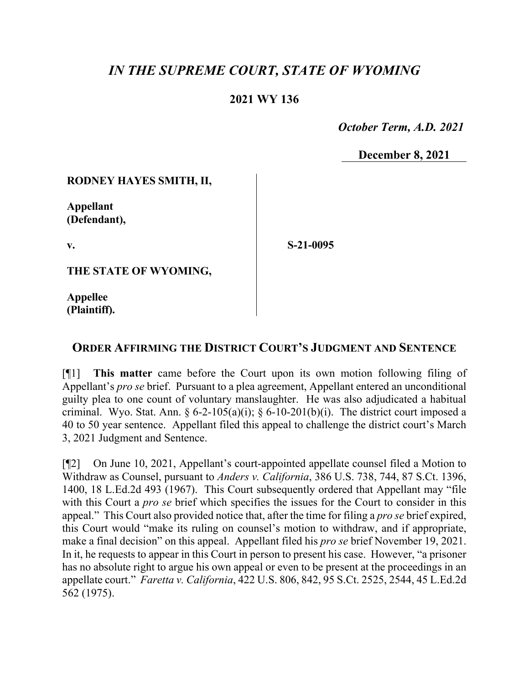# *IN THE SUPREME COURT, STATE OF WYOMING*

# **2021 WY 136**

 *October Term, A.D. 2021*

**December 8, 2021**

### **RODNEY HAYES SMITH, II,**

**Appellant (Defendant),**

**v.**

**S-21-0095**

**THE STATE OF WYOMING,**

**Appellee (Plaintiff).**

# **ORDER AFFIRMING THE DISTRICT COURT'S JUDGMENT AND SENTENCE**

[¶1] **This matter** came before the Court upon its own motion following filing of Appellant's *pro se* brief. Pursuant to a plea agreement, Appellant entered an unconditional guilty plea to one count of voluntary manslaughter. He was also adjudicated a habitual criminal. Wyo. Stat. Ann.  $\S 6-2-105(a)(i)$ ;  $\S 6-10-201(b)(i)$ . The district court imposed a 40 to 50 year sentence. Appellant filed this appeal to challenge the district court's March 3, 2021 Judgment and Sentence.

[¶2] On June 10, 2021, Appellant's court-appointed appellate counsel filed a Motion to Withdraw as Counsel, pursuant to *Anders v. California*, 386 U.S. 738, 744, 87 S.Ct. 1396, 1400, 18 L.Ed.2d 493 (1967). This Court subsequently ordered that Appellant may "file with this Court a *pro se* brief which specifies the issues for the Court to consider in this appeal." This Court also provided notice that, after the time for filing a *pro se* brief expired, this Court would "make its ruling on counsel's motion to withdraw, and if appropriate, make a final decision" on this appeal. Appellant filed his *pro se* brief November 19, 2021. In it, he requests to appear in this Court in person to present his case. However, "a prisoner has no absolute right to argue his own appeal or even to be present at the proceedings in an appellate court." *Faretta v. California*, 422 U.S. 806, 842, 95 S.Ct. 2525, 2544, 45 L.Ed.2d 562 (1975).